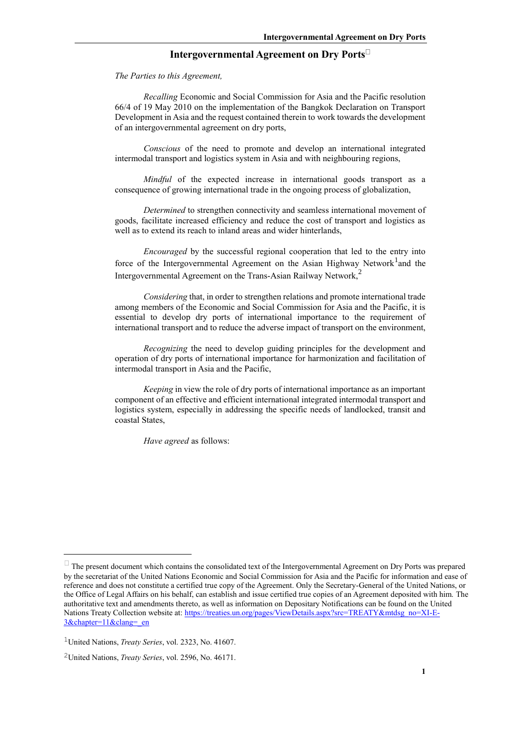# **Intergovernmental Agreement on Dry Ports**

*The Parties to this Agreement,*

*Recalling* Economic and Social Commission for Asia and the Pacific resolution 66/4 of 19 May 2010 on the implementation of the Bangkok Declaration on Transport Development in Asia and the request contained therein to work towards the development of an intergovernmental agreement on dry ports,

*Conscious* of the need to promote and develop an international integrated intermodal transport and logistics system in Asia and with neighbouring regions,

*Mindful* of the expected increase in international goods transport as a consequence of growing international trade in the ongoing process of globalization,

*Determined* to strengthen connectivity and seamless international movement of goods, facilitate increased efficiency and reduce the cost of transport and logistics as well as to extend its reach to inland areas and wider hinterlands,

*Encouraged* by the successful regional cooperation that led to the entry into force of the Intergovernmental Agreement on the Asian Highway Network<sup>1</sup>and the Intergovernmental Agreement on the Trans-Asian Railway Network,<sup>2</sup>

*Considering* that, in order to strengthen relations and promote international trade among members of the Economic and Social Commission for Asia and the Pacific, it is essential to develop dry ports of international importance to the requirement of international transport and to reduce the adverse impact of transport on the environment,

*Recognizing* the need to develop guiding principles for the development and operation of dry ports of international importance for harmonization and facilitation of intermodal transport in Asia and the Pacific,

*Keeping* in view the role of dry ports of international importance as an important component of an effective and efficient international integrated intermodal transport and logistics system, especially in addressing the specific needs of landlocked, transit and coastal States,

*Have agreed* as follows:

1

 $\Box$  The present document which contains the consolidated text of the Intergovernmental Agreement on Dry Ports was prepared by the secretariat of the United Nations Economic and Social Commission for Asia and the Pacific for information and ease of reference and does not constitute a certified true copy of the Agreement. Only the Secretary-General of the United Nations, or the Office of Legal Affairs on his behalf, can establish and issue certified true copies of an Agreement deposited with him. The authoritative text and amendments thereto, as well as information on Depositary Notifications can be found on the United Nations Treaty Collection website at: [https://treaties.un.org/pages/ViewDetails.aspx?src=TREATY&mtdsg\\_no=XI-E-](https://treaties.un.org/pages/ViewDetails.aspx?src=TREATY&mtdsg_no=XI-E-3&chapter=11&clang=_en)[3&chapter=11&clang=\\_en](https://treaties.un.org/pages/ViewDetails.aspx?src=TREATY&mtdsg_no=XI-E-3&chapter=11&clang=_en)

<sup>1</sup>United Nations, *Treaty Series*, vol. 2323, No. 41607.

<sup>2</sup>United Nations, *Treaty Series*, vol. 2596, No. 46171.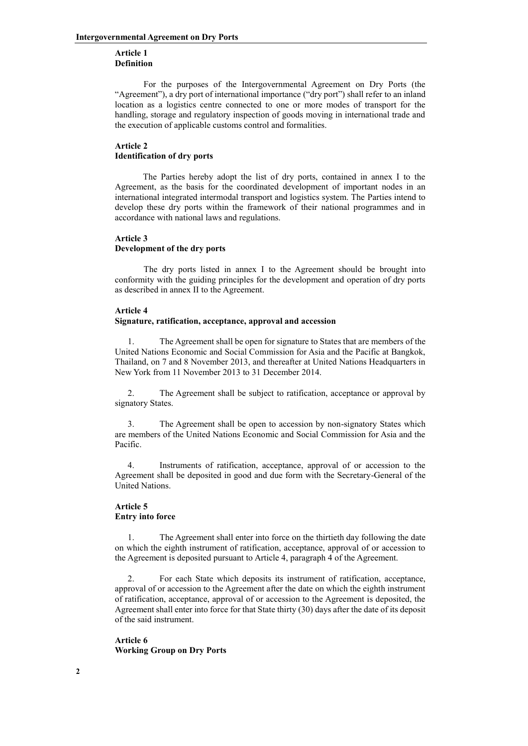## **Article 1 Definition**

For the purposes of the Intergovernmental Agreement on Dry Ports (the "Agreement"), a dry port of international importance ("dry port") shall refer to an inland location as a logistics centre connected to one or more modes of transport for the handling, storage and regulatory inspection of goods moving in international trade and the execution of applicable customs control and formalities.

# **Article 2 Identification of dry ports**

 The Parties hereby adopt the list of dry ports, contained in annex I to the Agreement, as the basis for the coordinated development of important nodes in an international integrated intermodal transport and logistics system. The Parties intend to develop these dry ports within the framework of their national programmes and in accordance with national laws and regulations.

# **Article 3 Development of the dry ports**

The dry ports listed in annex I to the Agreement should be brought into conformity with the guiding principles for the development and operation of dry ports as described in annex II to the Agreement.

## **Article 4**

## **Signature, ratification, acceptance, approval and accession**

1. The Agreement shall be open for signature to States that are members of the United Nations Economic and Social Commission for Asia and the Pacific at Bangkok, Thailand, on 7 and 8 November 2013, and thereafter at United Nations Headquarters in New York from 11 November 2013 to 31 December 2014.

2. The Agreement shall be subject to ratification, acceptance or approval by signatory States.

3. The Agreement shall be open to accession by non-signatory States which are members of the United Nations Economic and Social Commission for Asia and the Pacific.

4. Instruments of ratification, acceptance, approval of or accession to the Agreement shall be deposited in good and due form with the Secretary-General of the United Nations.

# **Article 5 Entry into force**

1. The Agreement shall enter into force on the thirtieth day following the date on which the eighth instrument of ratification, acceptance, approval of or accession to the Agreement is deposited pursuant to Article 4, paragraph 4 of the Agreement.

2. For each State which deposits its instrument of ratification, acceptance, approval of or accession to the Agreement after the date on which the eighth instrument of ratification, acceptance, approval of or accession to the Agreement is deposited, the Agreement shall enter into force for that State thirty (30) days after the date of its deposit of the said instrument.

**Article 6 Working Group on Dry Ports**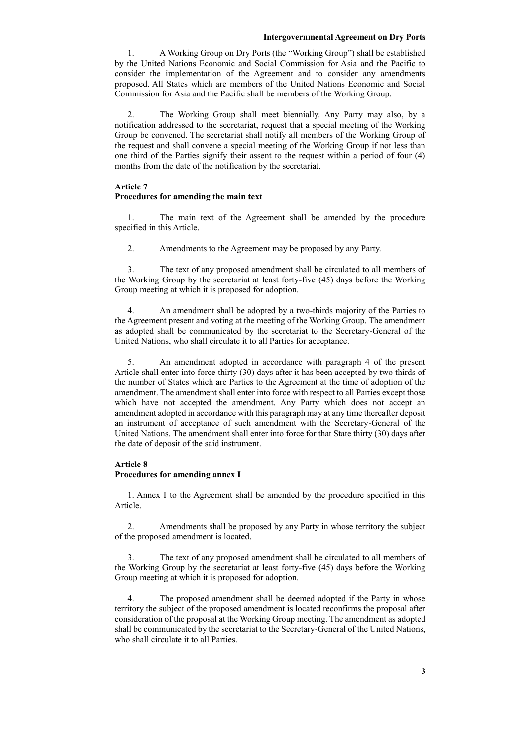1. A Working Group on Dry Ports (the "Working Group") shall be established by the United Nations Economic and Social Commission for Asia and the Pacific to consider the implementation of the Agreement and to consider any amendments proposed. All States which are members of the United Nations Economic and Social Commission for Asia and the Pacific shall be members of the Working Group.

2. The Working Group shall meet biennially. Any Party may also, by a notification addressed to the secretariat, request that a special meeting of the Working Group be convened. The secretariat shall notify all members of the Working Group of the request and shall convene a special meeting of the Working Group if not less than one third of the Parties signify their assent to the request within a period of four (4) months from the date of the notification by the secretariat.

## **Article 7**

#### **Procedures for amending the main text**

1. The main text of the Agreement shall be amended by the procedure specified in this Article.

2. Amendments to the Agreement may be proposed by any Party.

3. The text of any proposed amendment shall be circulated to all members of the Working Group by the secretariat at least forty-five (45) days before the Working Group meeting at which it is proposed for adoption.

4. An amendment shall be adopted by a two-thirds majority of the Parties to the Agreement present and voting at the meeting of the Working Group. The amendment as adopted shall be communicated by the secretariat to the Secretary-General of the United Nations, who shall circulate it to all Parties for acceptance.

5. An amendment adopted in accordance with paragraph 4 of the present Article shall enter into force thirty (30) days after it has been accepted by two thirds of the number of States which are Parties to the Agreement at the time of adoption of the amendment. The amendment shall enter into force with respect to all Parties except those which have not accepted the amendment. Any Party which does not accept an amendment adopted in accordance with this paragraph may at any time thereafter deposit an instrument of acceptance of such amendment with the Secretary-General of the United Nations. The amendment shall enter into force for that State thirty (30) days after the date of deposit of the said instrument.

#### **Article 8**

## **Procedures for amending annex I**

1. Annex I to the Agreement shall be amended by the procedure specified in this Article.

2. Amendments shall be proposed by any Party in whose territory the subject of the proposed amendment is located.

3. The text of any proposed amendment shall be circulated to all members of the Working Group by the secretariat at least forty-five (45) days before the Working Group meeting at which it is proposed for adoption.

4. The proposed amendment shall be deemed adopted if the Party in whose territory the subject of the proposed amendment is located reconfirms the proposal after consideration of the proposal at the Working Group meeting. The amendment as adopted shall be communicated by the secretariat to the Secretary-General of the United Nations, who shall circulate it to all Parties.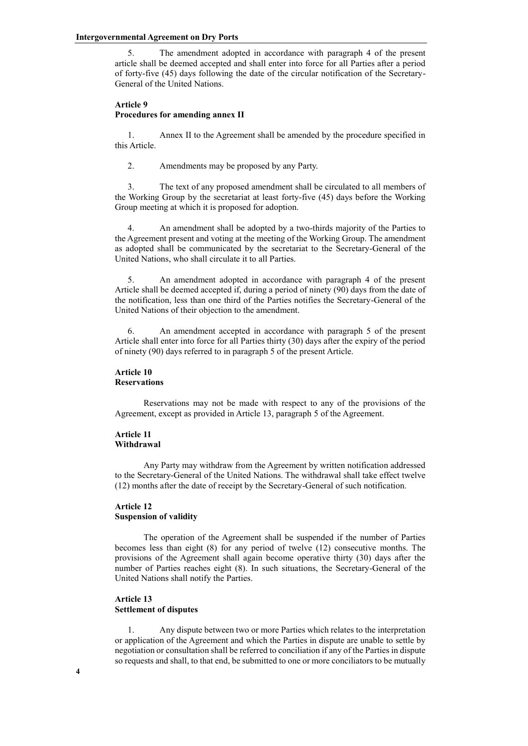5. The amendment adopted in accordance with paragraph 4 of the present article shall be deemed accepted and shall enter into force for all Parties after a period of forty-five (45) days following the date of the circular notification of the Secretary-General of the United Nations.

## **Article 9 Procedures for amending annex II**

1. Annex II to the Agreement shall be amended by the procedure specified in this Article.

2. Amendments may be proposed by any Party.

3. The text of any proposed amendment shall be circulated to all members of the Working Group by the secretariat at least forty-five (45) days before the Working Group meeting at which it is proposed for adoption.

4. An amendment shall be adopted by a two-thirds majority of the Parties to the Agreement present and voting at the meeting of the Working Group. The amendment as adopted shall be communicated by the secretariat to the Secretary-General of the United Nations, who shall circulate it to all Parties.

5. An amendment adopted in accordance with paragraph 4 of the present Article shall be deemed accepted if, during a period of ninety (90) days from the date of the notification, less than one third of the Parties notifies the Secretary-General of the United Nations of their objection to the amendment.

6. An amendment accepted in accordance with paragraph 5 of the present Article shall enter into force for all Parties thirty (30) days after the expiry of the period of ninety (90) days referred to in paragraph 5 of the present Article.

#### **Article 10 Reservations**

Reservations may not be made with respect to any of the provisions of the Agreement, except as provided in Article 13, paragraph 5 of the Agreement.

## **Article 11 Withdrawal**

Any Party may withdraw from the Agreement by written notification addressed to the Secretary-General of the United Nations. The withdrawal shall take effect twelve (12) months after the date of receipt by the Secretary-General of such notification.

## **Article 12 Suspension of validity**

The operation of the Agreement shall be suspended if the number of Parties becomes less than eight (8) for any period of twelve (12) consecutive months. The provisions of the Agreement shall again become operative thirty (30) days after the number of Parties reaches eight (8). In such situations, the Secretary-General of the United Nations shall notify the Parties.

# **Article 13 Settlement of disputes**

1. Any dispute between two or more Parties which relates to the interpretation or application of the Agreement and which the Parties in dispute are unable to settle by negotiation or consultation shall be referred to conciliation if any of the Parties in dispute so requests and shall, to that end, be submitted to one or more conciliators to be mutually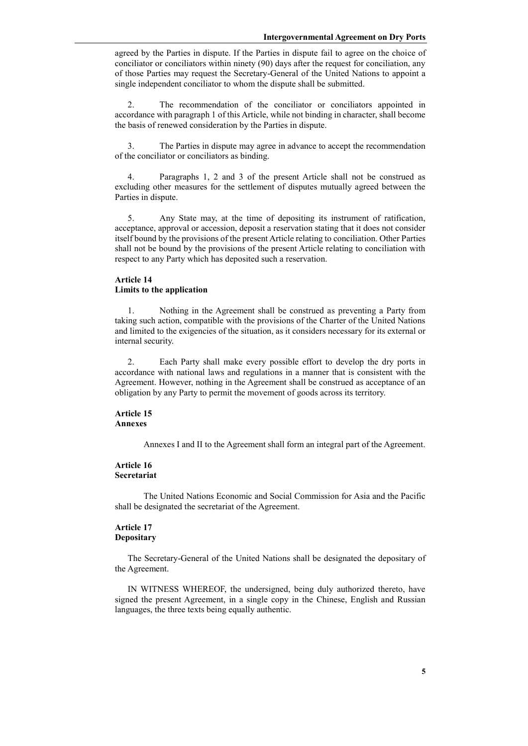agreed by the Parties in dispute. If the Parties in dispute fail to agree on the choice of conciliator or conciliators within ninety (90) days after the request for conciliation, any of those Parties may request the Secretary-General of the United Nations to appoint a single independent conciliator to whom the dispute shall be submitted.

2. The recommendation of the conciliator or conciliators appointed in accordance with paragraph 1 of this Article, while not binding in character, shall become the basis of renewed consideration by the Parties in dispute.

3. The Parties in dispute may agree in advance to accept the recommendation of the conciliator or conciliators as binding.

4. Paragraphs 1, 2 and 3 of the present Article shall not be construed as excluding other measures for the settlement of disputes mutually agreed between the Parties in dispute.

5. Any State may, at the time of depositing its instrument of ratification, acceptance, approval or accession, deposit a reservation stating that it does not consider itself bound by the provisions of the present Article relating to conciliation. Other Parties shall not be bound by the provisions of the present Article relating to conciliation with respect to any Party which has deposited such a reservation.

## **Article 14 Limits to the application**

1. Nothing in the Agreement shall be construed as preventing a Party from taking such action, compatible with the provisions of the Charter of the United Nations and limited to the exigencies of the situation, as it considers necessary for its external or internal security.

2. Each Party shall make every possible effort to develop the dry ports in accordance with national laws and regulations in a manner that is consistent with the Agreement. However, nothing in the Agreement shall be construed as acceptance of an obligation by any Party to permit the movement of goods across its territory.

## **Article 15 Annexes**

Annexes I and II to the Agreement shall form an integral part of the Agreement.

## **Article 16 Secretariat**

The United Nations Economic and Social Commission for Asia and the Pacific shall be designated the secretariat of the Agreement.

# **Article 17 Depositary**

The Secretary-General of the United Nations shall be designated the depositary of the Agreement.

IN WITNESS WHEREOF, the undersigned, being duly authorized thereto, have signed the present Agreement, in a single copy in the Chinese, English and Russian languages, the three texts being equally authentic.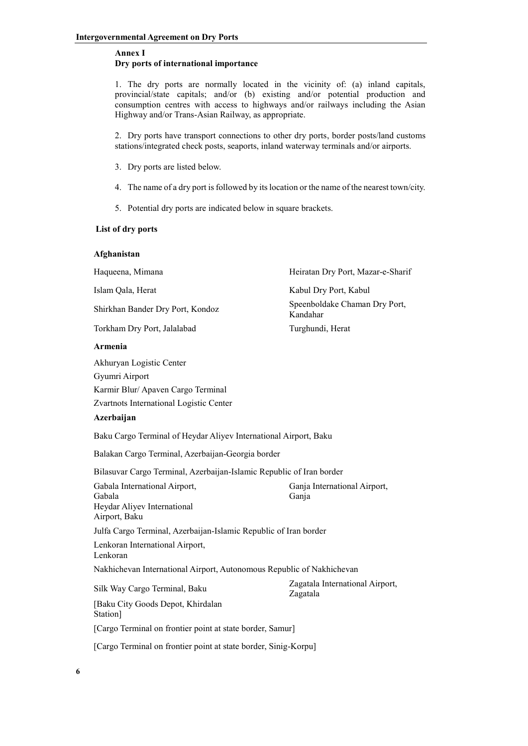## **Annex I Dry ports of international importance**

1. The dry ports are normally located in the vicinity of: (a) inland capitals, provincial/state capitals; and/or (b) existing and/or potential production and consumption centres with access to highways and/or railways including the Asian Highway and/or Trans-Asian Railway, as appropriate.

2. Dry ports have transport connections to other dry ports, border posts/land customs stations/integrated check posts, seaports, inland waterway terminals and/or airports.

- 3. Dry ports are listed below.
- 4. The name of a dry port is followed by its location or the name of the nearest town/city.
- 5. Potential dry ports are indicated below in square brackets.

## **List of dry ports**

## **Afghanistan**

| Haqueena, Mimana                                                                                                            | Heiratan Dry Port, Mazar-e-Sharif           |  |
|-----------------------------------------------------------------------------------------------------------------------------|---------------------------------------------|--|
| Islam Qala, Herat                                                                                                           | Kabul Dry Port, Kabul                       |  |
| Shirkhan Bander Dry Port, Kondoz                                                                                            | Speenboldake Chaman Dry Port,<br>Kandahar   |  |
| Torkham Dry Port, Jalalabad                                                                                                 | Turghundi, Herat                            |  |
| Armenia                                                                                                                     |                                             |  |
| Akhuryan Logistic Center<br>Gyumri Airport<br>Karmir Blur/ Apaven Cargo Terminal<br>Zvartnots International Logistic Center |                                             |  |
| Azerbaijan                                                                                                                  |                                             |  |
| Baku Cargo Terminal of Heydar Aliyev International Airport, Baku                                                            |                                             |  |
| Balakan Cargo Terminal, Azerbaijan-Georgia border                                                                           |                                             |  |
| Bilasuvar Cargo Terminal, Azerbaijan-Islamic Republic of Iran border                                                        |                                             |  |
| Gabala International Airport,<br>Gabala<br>Heydar Aliyev International<br>Airport, Baku                                     | Ganja International Airport,<br>Ganja       |  |
| Julfa Cargo Terminal, Azerbaijan-Islamic Republic of Iran border                                                            |                                             |  |
| Lenkoran International Airport,<br>Lenkoran                                                                                 |                                             |  |
| Nakhichevan International Airport, Autonomous Republic of Nakhichevan                                                       |                                             |  |
| Silk Way Cargo Terminal, Baku<br>[Baku City Goods Depot, Khirdalan<br>Station]                                              | Zagatala International Airport,<br>Zagatala |  |
| [Cargo Terminal on frontier point at state border, Samur]                                                                   |                                             |  |
| [Cargo Terminal on frontier point at state border, Sinig-Korpu]                                                             |                                             |  |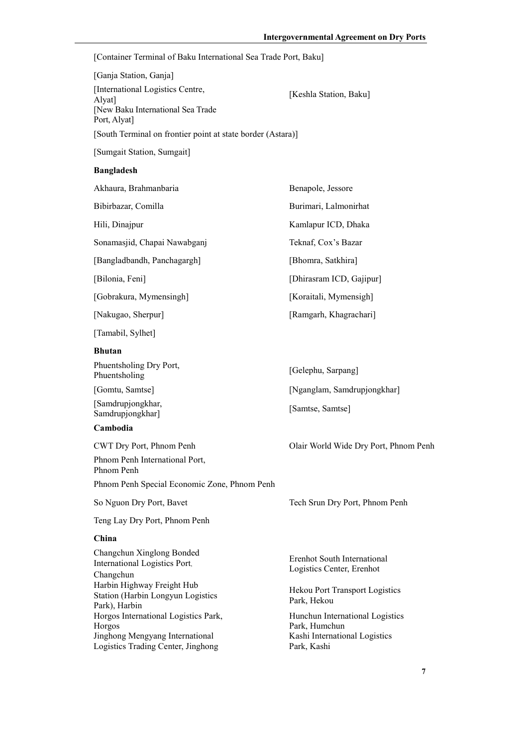[Container Terminal of Baku International Sea Trade Port, Baku]

| [Ganja Station, Ganja]                                                                         |                        |
|------------------------------------------------------------------------------------------------|------------------------|
| International Logistics Centre,<br>Alyat]<br>[New Baku International Sea Trade<br>Port, Alvat] | [Keshla Station, Baku] |
| [South Terminal on frontier point at state border (Astara)]                                    |                        |

[Sumgait Station, Sumgait]

## **Bangladesh**

| Akhaura, Brahmanbaria        | Benapole, Jessore        |
|------------------------------|--------------------------|
| Bibirbazar, Comilla          | Burimari, Lalmonirhat    |
| Hili, Dinajpur               | Kamlapur ICD, Dhaka      |
| Sonamasjid, Chapai Nawabganj | Teknaf, Cox's Bazar      |
| [Bangladbandh, Panchagargh]  | [Bhomra, Satkhira]       |
| [Bilonia, Feni]              | [Dhirasram ICD, Gajipur] |
| [Gobrakura, Mymensingh]      | [Koraitali, Mymensigh]   |
| [Nakugao, Sherpur]           | [Ramgarh, Khagrachari]   |

[Tamabil, Sylhet]

## **Bhutan**

| Phuentsholing Dry Port, |  |
|-------------------------|--|
| Phuentsholing           |  |

[Samdrupjongkhar, [Samdrupjongkhar] [Samtse, Samtse]

## **Cambodia**

CWT Dry Port, Phnom Penh Olair World Wide Dry Port, Phnom Penh Phnom Penh International Port, Phnom Penh

Phnom Penh Special Economic Zone, Phnom Penh

Teng Lay Dry Port, Phnom Penh

## **China**

Changchun Xinglong Bonded International Logistics Port, Changchun Harbin Highway Freight Hub Station (Harbin Longyun Logistics Park), Harbin Horgos International Logistics Park, Horgos Jinghong Mengyang International Logistics Trading Center, Jinghong

[Gelephu, Sarpang] [Gomtu, Samtse] [Nganglam, Samdrupjongkhar]

So Nguon Dry Port, Bavet Tech Srun Dry Port, Phnom Penh

Erenhot South International Logistics Center, Erenhot

Hekou Port Transport Logistics Park, Hekou

Hunchun International Logistics Park, Humchun Kashi International Logistics Park, Kashi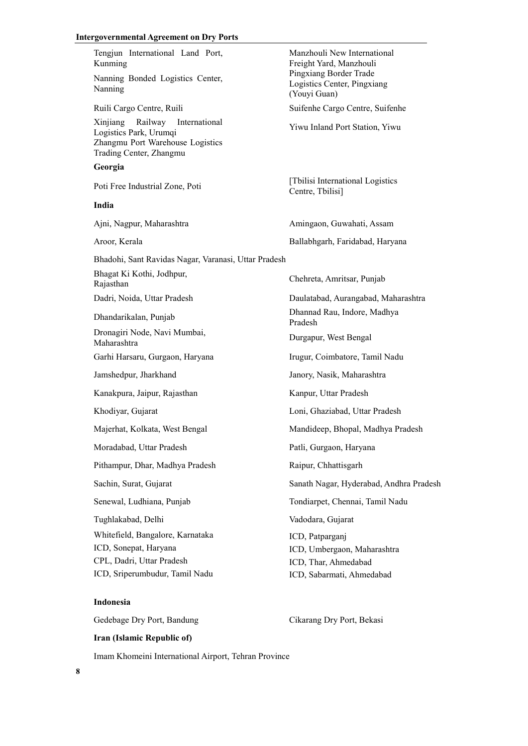#### **Intergovernmental Agreement on Dry Ports**

Tengjun International Land Port, Kunming Manzhouli New International Freight Yard, Manzhouli Nanning Bonded Logistics Center, Nanning Pingxiang Border Trade Logistics Center, Pingxiang (Youyi Guan) Ruili Cargo Centre, Ruili Suifenhe Cargo Centre, Suifenhe Xinjiang Railway International Amjiang Kanway International<br>Logistics Park, Urumqi Zhangmu Port Warehouse Logistics Trading Center, Zhangmu **Georgia** Poti Free Industrial Zone, Poti [Tbilisi International Logistics]<br>
Contra Thilisil Centre, Tbilisi] **India** Ajni, Nagpur, Maharashtra Amingaon, Guwahati, Assam Aroor, Kerala Ballabhgarh, Faridabad, Haryana Bhadohi, Sant Ravidas Nagar, Varanasi, Uttar Pradesh Bhagat Ki Kothi, Jodhpur, Bilagat Ki Kolin, Jounpur, Chehreta, Amritsar, Punjab Rajasthan Dadri, Noida, Uttar Pradesh Daulatabad, Aurangabad, Maharashtra Dhandarikalan, Punjab Dhannad Rau, Indore, Madhya Pradesh Dronagiri Node, Navi Mumbai, Maharashtra Durgapur, West Bengal Garhi Harsaru, Gurgaon, Haryana Irugur, Coimbatore, Tamil Nadu Jamshedpur, Jharkhand Janory, Nasik, Maharashtra Kanakpura, Jaipur, Rajasthan Kanpur, Uttar Pradesh Khodiyar, Gujarat Loni, Ghaziabad, Uttar Pradesh Majerhat, Kolkata, West Bengal Mandideep, Bhopal, Madhya Pradesh Moradabad, Uttar Pradesh Patli, Gurgaon, Haryana Pithampur, Dhar, Madhya Pradesh Raipur, Chhattisgarh Sachin, Surat, Gujarat Sanath Nagar, Hyderabad, Andhra Pradesh Senewal, Ludhiana, Punjab Tondiarpet, Chennai, Tamil Nadu Tughlakabad, Delhi Vadodara, Gujarat Whitefield, Bangalore, Karnataka ICD, Sonepat, Haryana CPL, Dadri, Uttar Pradesh ICD, Sriperumbudur, Tamil Nadu ICD, Patparganj ICD, Umbergaon, Maharashtra ICD, Thar, Ahmedabad ICD, Sabarmati, Ahmedabad

# **Indonesia**

Gedebage Dry Port, Bandung Cikarang Dry Port, Bekasi

## **Iran (Islamic Republic of)**

Imam Khomeini International Airport, Tehran Province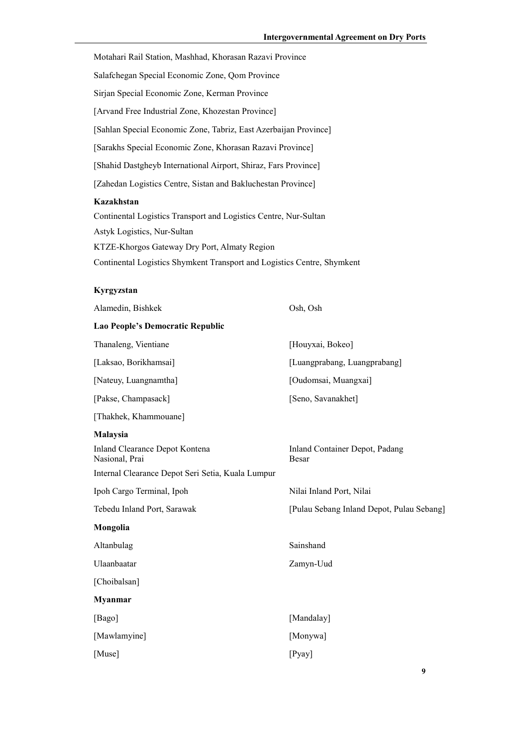| Motahari Rail Station, Mashhad, Khorasan Razavi Province         |
|------------------------------------------------------------------|
| Salafchegan Special Economic Zone, Qom Province                  |
| Sirjan Special Economic Zone, Kerman Province                    |
| [Arvand Free Industrial Zone, Khozestan Province]                |
| [Sahlan Special Economic Zone, Tabriz, East Azerbaijan Province] |
| [Sarakhs Special Economic Zone, Khorasan Razavi Province]        |
| [Shahid Dastgheyb International Airport, Shiraz, Fars Province]  |
| [Zahedan Logistics Centre, Sistan and Bakluchestan Province]     |
| Kazakhstan                                                       |
| Continental Logistics Transport and Logistics Centre, Nur-Sultan |
| Astyk Logistics, Nur-Sultan                                      |
|                                                                  |

KTZE-Khorgos Gateway Dry Port, Almaty Region

# Continental Logistics Shymkent Transport and Logistics Centre, Shymkent

# **Kyrgyzstan**

| Alamedin, Bishkek                                 | Osh, Osh                                  |
|---------------------------------------------------|-------------------------------------------|
| Lao People's Democratic Republic                  |                                           |
| Thanaleng, Vientiane                              | [Houyxai, Bokeo]                          |
| [Laksao, Borikhamsai]                             | [Luangprabang, Luangprabang]              |
| [Nateuy, Luangnamtha]                             | [Oudomsai, Muangxai]                      |
| [Pakse, Champasack]                               | [Seno, Savanakhet]                        |
| [Thakhek, Khammouane]                             |                                           |
| Malaysia                                          |                                           |
| Inland Clearance Depot Kontena<br>Nasional, Prai  | Inland Container Depot, Padang<br>Besar   |
| Internal Clearance Depot Seri Setia, Kuala Lumpur |                                           |
| Ipoh Cargo Terminal, Ipoh                         | Nilai Inland Port, Nilai                  |
| Tebedu Inland Port, Sarawak                       | [Pulau Sebang Inland Depot, Pulau Sebang] |
| Mongolia                                          |                                           |
| Altanbulag                                        | Sainshand                                 |
| Ulaanbaatar                                       | Zamyn-Uud                                 |
| [Choibalsan]                                      |                                           |
| <b>Myanmar</b>                                    |                                           |
| [Bago]                                            | [Mandalay]                                |
| [Mawlamyine]                                      | [Monywa]                                  |
| [Muse]                                            | [Pyay]                                    |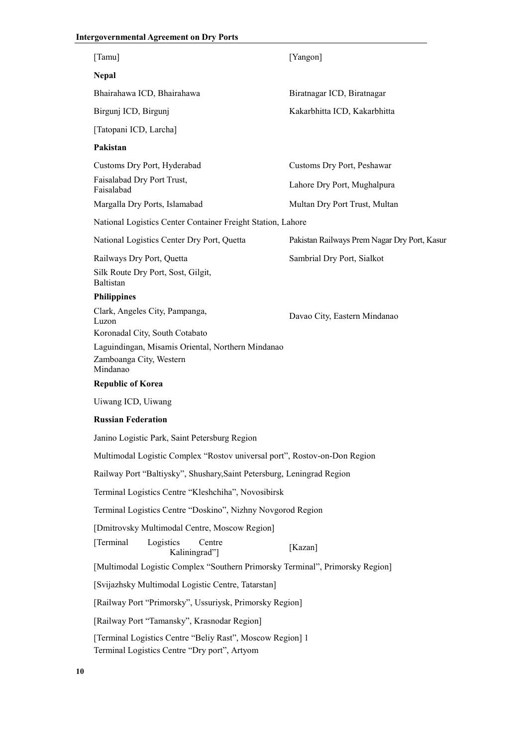# **Intergovernmental Agreement on Dry Ports**

| [Tamu]                                                                                                    | [Yangon]                                     |
|-----------------------------------------------------------------------------------------------------------|----------------------------------------------|
| <b>Nepal</b>                                                                                              |                                              |
| Bhairahawa ICD, Bhairahawa                                                                                | Biratnagar ICD, Biratnagar                   |
| Birgunj ICD, Birgunj                                                                                      | Kakarbhitta ICD, Kakarbhitta                 |
| [Tatopani ICD, Larcha]                                                                                    |                                              |
| Pakistan                                                                                                  |                                              |
| Customs Dry Port, Hyderabad                                                                               | Customs Dry Port, Peshawar                   |
| Faisalabad Dry Port Trust,<br>Faisalabad                                                                  | Lahore Dry Port, Mughalpura                  |
| Margalla Dry Ports, Islamabad                                                                             | Multan Dry Port Trust, Multan                |
| National Logistics Center Container Freight Station, Lahore                                               |                                              |
| National Logistics Center Dry Port, Quetta                                                                | Pakistan Railways Prem Nagar Dry Port, Kasur |
| Railways Dry Port, Quetta                                                                                 | Sambrial Dry Port, Sialkot                   |
| Silk Route Dry Port, Sost, Gilgit,<br><b>Baltistan</b>                                                    |                                              |
| <b>Philippines</b>                                                                                        |                                              |
| Clark, Angeles City, Pampanga,<br>Luzon<br>Koronadal City, South Cotabato                                 | Davao City, Eastern Mindanao                 |
| Laguindingan, Misamis Oriental, Northern Mindanao<br>Zamboanga City, Western<br>Mindanao                  |                                              |
| <b>Republic of Korea</b>                                                                                  |                                              |
| Uiwang ICD, Uiwang                                                                                        |                                              |
| <b>Russian Federation</b>                                                                                 |                                              |
| Janino Logistic Park, Saint Petersburg Region                                                             |                                              |
| Multimodal Logistic Complex "Rostov universal port", Rostov-on-Don Region                                 |                                              |
| Railway Port "Baltiysky", Shushary, Saint Petersburg, Leningrad Region                                    |                                              |
| Terminal Logistics Centre "Kleshchiha", Novosibirsk                                                       |                                              |
| Terminal Logistics Centre "Doskino", Nizhny Novgorod Region                                               |                                              |
| [Dmitrovsky Multimodal Centre, Moscow Region]                                                             |                                              |
| [Terminal]<br>Logistics<br>Centre<br>Kaliningrad"]                                                        | [Kazan]                                      |
| [Multimodal Logistic Complex "Southern Primorsky Terminal", Primorsky Region]                             |                                              |
| [Svijazhsky Multimodal Logistic Centre, Tatarstan]                                                        |                                              |
| [Railway Port "Primorsky", Ussuriysk, Primorsky Region]                                                   |                                              |
| [Railway Port "Tamansky", Krasnodar Region]                                                               |                                              |
| [Terminal Logistics Centre "Beliy Rast", Moscow Region] 1<br>Terminal Logistics Centre "Dry port", Artyom |                                              |
|                                                                                                           |                                              |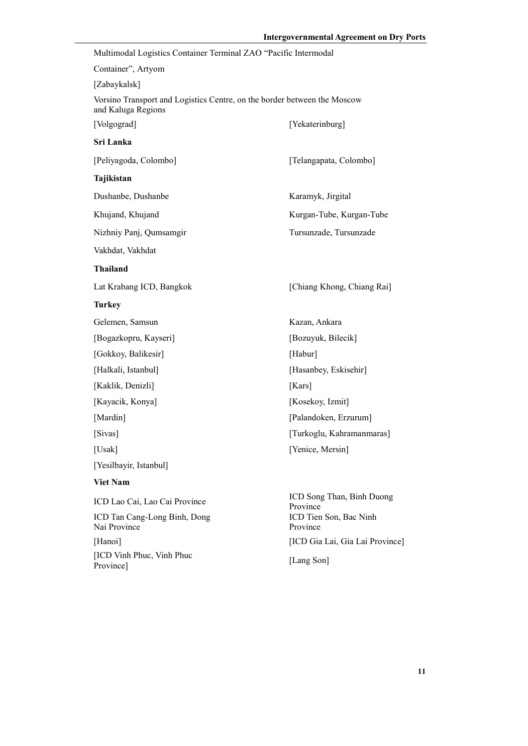| Multimodal Logistics Container Terminal ZAO "Pacific Intermodal                                |                                                                             |
|------------------------------------------------------------------------------------------------|-----------------------------------------------------------------------------|
| Container", Artyom                                                                             |                                                                             |
| [Zabaykalsk]                                                                                   |                                                                             |
| Vorsino Transport and Logistics Centre, on the border between the Moscow<br>and Kaluga Regions |                                                                             |
| [Volgograd]                                                                                    | [Yekaterinburg]                                                             |
| Sri Lanka                                                                                      |                                                                             |
| [Peliyagoda, Colombo]                                                                          | [Telangapata, Colombo]                                                      |
| Tajikistan                                                                                     |                                                                             |
| Dushanbe, Dushanbe                                                                             | Karamyk, Jirgital                                                           |
| Khujand, Khujand                                                                               | Kurgan-Tube, Kurgan-Tube                                                    |
| Nizhniy Panj, Qumsamgir                                                                        | Tursunzade, Tursunzade                                                      |
| Vakhdat, Vakhdat                                                                               |                                                                             |
| <b>Thailand</b>                                                                                |                                                                             |
| Lat Krabang ICD, Bangkok                                                                       | [Chiang Khong, Chiang Rai]                                                  |
| <b>Turkey</b>                                                                                  |                                                                             |
| Gelemen, Samsun                                                                                | Kazan, Ankara                                                               |
| [Bogazkopru, Kayseri]                                                                          | [Bozuyuk, Bilecik]                                                          |
| [Gokkoy, Balikesir]                                                                            | [Habur]                                                                     |
| [Halkali, Istanbul]                                                                            | [Hasanbey, Eskisehir]                                                       |
| [Kaklik, Denizli]                                                                              | [ $Kars$ ]                                                                  |
| [Kayacik, Konya]                                                                               | [Kosekoy, Izmit]                                                            |
| [Mardin]                                                                                       | [Palandoken, Erzurum]                                                       |
| [Sivas]                                                                                        | [Turkoglu, Kahramanmaras]                                                   |
| [Usak]                                                                                         | [Yenice, Mersin]                                                            |
| [Yesilbayir, Istanbul]                                                                         |                                                                             |
| <b>Viet Nam</b>                                                                                |                                                                             |
| ICD Lao Cai, Lao Cai Province<br>ICD Tan Cang-Long Binh, Dong<br>Nai Province                  | ICD Song Than, Binh Duong<br>Province<br>ICD Tien Son, Bac Ninh<br>Province |
| [Hanoi]                                                                                        | [ICD Gia Lai, Gia Lai Province]                                             |
| [ICD Vinh Phuc, Vinh Phuc<br>Province]                                                         | [Lang Son]                                                                  |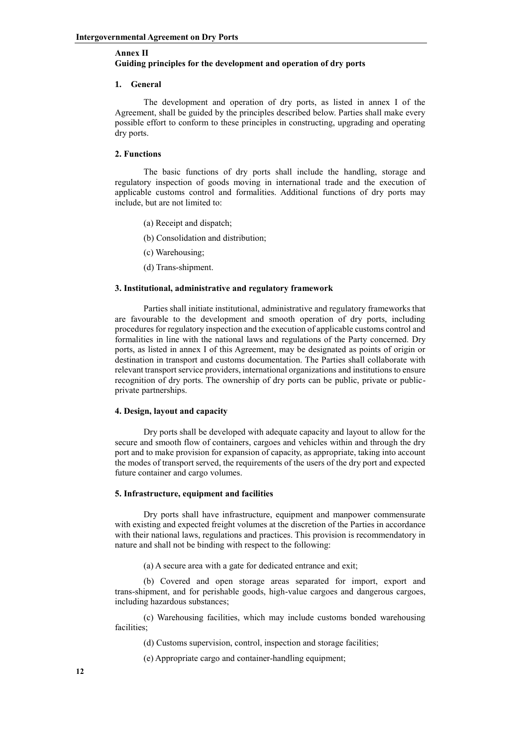# **Annex II Guiding principles for the development and operation of dry ports**

### **1. General**

The development and operation of dry ports, as listed in annex I of the Agreement, shall be guided by the principles described below. Parties shall make every possible effort to conform to these principles in constructing, upgrading and operating dry ports.

#### **2. Functions**

The basic functions of dry ports shall include the handling, storage and regulatory inspection of goods moving in international trade and the execution of applicable customs control and formalities. Additional functions of dry ports may include, but are not limited to:

- (a) Receipt and dispatch;
- (b) Consolidation and distribution;
- (c) Warehousing;
- (d) Trans-shipment.

## **3. Institutional, administrative and regulatory framework**

Parties shall initiate institutional, administrative and regulatory frameworks that are favourable to the development and smooth operation of dry ports, including procedures for regulatory inspection and the execution of applicable customs control and formalities in line with the national laws and regulations of the Party concerned. Dry ports, as listed in annex I of this Agreement, may be designated as points of origin or destination in transport and customs documentation. The Parties shall collaborate with relevant transport service providers, international organizations and institutions to ensure recognition of dry ports. The ownership of dry ports can be public, private or publicprivate partnerships.

## **4. Design, layout and capacity**

Dry ports shall be developed with adequate capacity and layout to allow for the secure and smooth flow of containers, cargoes and vehicles within and through the dry port and to make provision for expansion of capacity, as appropriate, taking into account the modes of transport served, the requirements of the users of the dry port and expected future container and cargo volumes.

### **5. Infrastructure, equipment and facilities**

Dry ports shall have infrastructure, equipment and manpower commensurate with existing and expected freight volumes at the discretion of the Parties in accordance with their national laws, regulations and practices. This provision is recommendatory in nature and shall not be binding with respect to the following:

(a) A secure area with a gate for dedicated entrance and exit;

(b) Covered and open storage areas separated for import, export and trans-shipment, and for perishable goods, high-value cargoes and dangerous cargoes, including hazardous substances;

(c) Warehousing facilities, which may include customs bonded warehousing facilities;

(d) Customs supervision, control, inspection and storage facilities;

(e) Appropriate cargo and container-handling equipment;